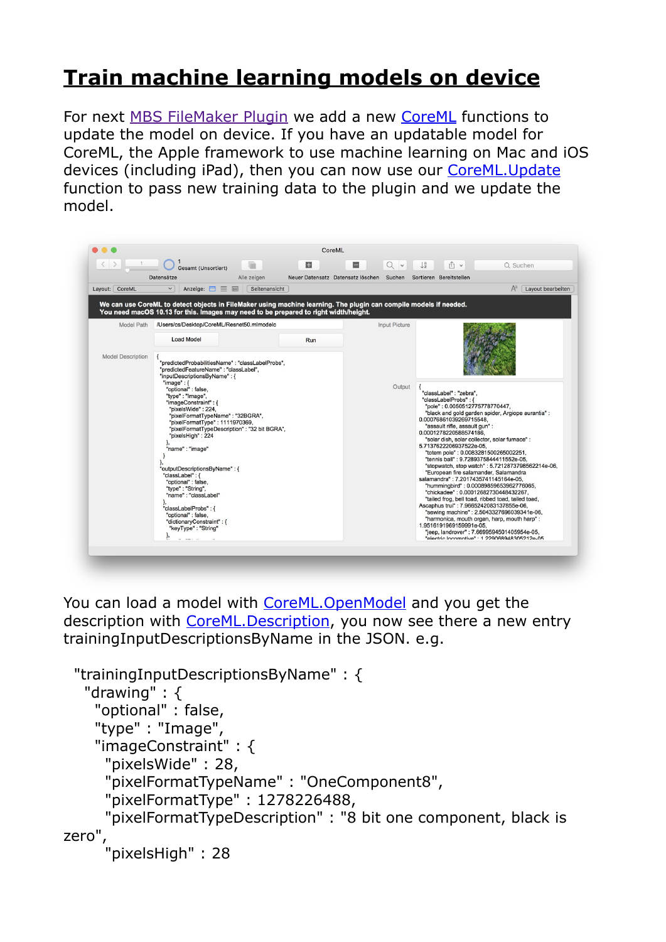## **[Train machine learning models on device](https://www.mbs-plugins.com/archive/2019-12-17/Train_machine_learning_models_/monkeybreadsoftware_blog_filemaker)**

For next [MBS FileMaker Plugin](https://www.monkeybreadsoftware.com/filemaker/) we add a new [CoreML](https://www.mbsplugins.eu/component_CoreML.shtml) functions to update the model on device. If you have an updatable model for CoreML, the Apple framework to use machine learning on Mac and iOS devices (including iPad), then you can now use our [CoreML.Update](https://www.mbsplugins.eu/CoreMLUpdate.shtml) function to pass new training data to the plugin and we update the model.

CoreMI  $\left\langle \begin{array}{c} \end{array}\right\rangle$   $\left\langle \begin{array}{c} 1 \\ 1 \end{array}\right\rangle$   $\bigcup_{n=1}^{\infty}$  Gesamt (Unsortiert) Q Suchen Neuer Datensatz Datensatz löschen Suchen Sortieren Bereitstellen Datensätze Alle zeigen Layout: CoreML Anzeige:  $\equiv$   $\equiv$   $\equiv$   $\sqrt{\frac{3}{2}}$  $A^a$  [Layout bearbeiten We can use CoreML to detect objects in FileMaker using machine learning. The plugin can compile models if needed.<br>You need macOS 10.13 for this. Images may need to be prepared to right width/height. Model Path /Users/cs/Desktop/CoreML/Resnet50.mlmodelc **Input Picture** Load Mode Run Model Description {<br>"predictedProbabilitiesName": "classLabelProbs",<br>"predictedFeatureName": "classLabel", "predictedProbabilitiesName" : "classLabelProbs",<br>"predictedFeatureName" : "classLabel",<br>"inputDescriptionsByName" : {<br>"ingule" : {<br>"inge" : {<br>"ingeconstraint" : {<br>"pixelsWide" : 224,<br>"pixelsWide" : 224,<br>"pixelFormatTypeNa Output {<br>"classLabel": "zebra",<br>"pole": 0.0050512775778770447,<br>"black and gold garden spider, Argiope aurantia":<br>0.00076861039269715548,<br>0.00076861039269715548, "assault rifle, assault qun" : 0.0001278220588574186  $0.0001778220588574186, \ bif. 2001178222058574186, \ c. 5017362206937522e-05, \ c. 57137622206937522e-05, \ c. 5717622206937522e-05, \ c. 571762e-05, \ c. 571762e-05, \ c. 571762e-05, \ c. 571762e-05, \ c. 57176e-05, \ c. 571762e-05, \ c. 5717$ },<br>"name" : "image" "outputDescriptionsByName" : { "classLabel": {<br>"classLabel": {<br>"optional": false,<br>"type": "String",<br>"name": "classLabel" "hummingbird" : 0.00089859653962776065,<br>"chickadee" : 0.00012682730448432267. "chickadee": 0.00012682730444432267,<br>Talled frog. bell toad, ribbed toad, talled toad,<br>Ascaphus trui": 7.9665242083137855e-06,<br>"examy machine": 2.5043327696039341e-06,<br>"harmonica, mouth organ, harp, mouth harp":<br>1.95161919 },<br>"classLabelProbs" : { hassLabelPT0bs<br>"optional" : false,<br>"dictionaryConstraint" : {<br>"keyType" : "String"

You can load a model with CoreML. OpenModel and you get the description with CoreML. Description, you now see there a new entry trainingInputDescriptionsByName in the JSON. e.g.

```
 "trainingInputDescriptionsByName" : { 
    "drawing" : { 
     "optional" : false, 
     "type" : "Image", 
     "imageConstraint" : { 
      "pixelsWide" : 28, 
      "pixelFormatTypeName" : "OneComponent8", 
       "pixelFormatType" : 1278226488, 
       "pixelFormatTypeDescription" : "8 bit one component, black is 
zero", 
       "pixelsHigh" : 28
```